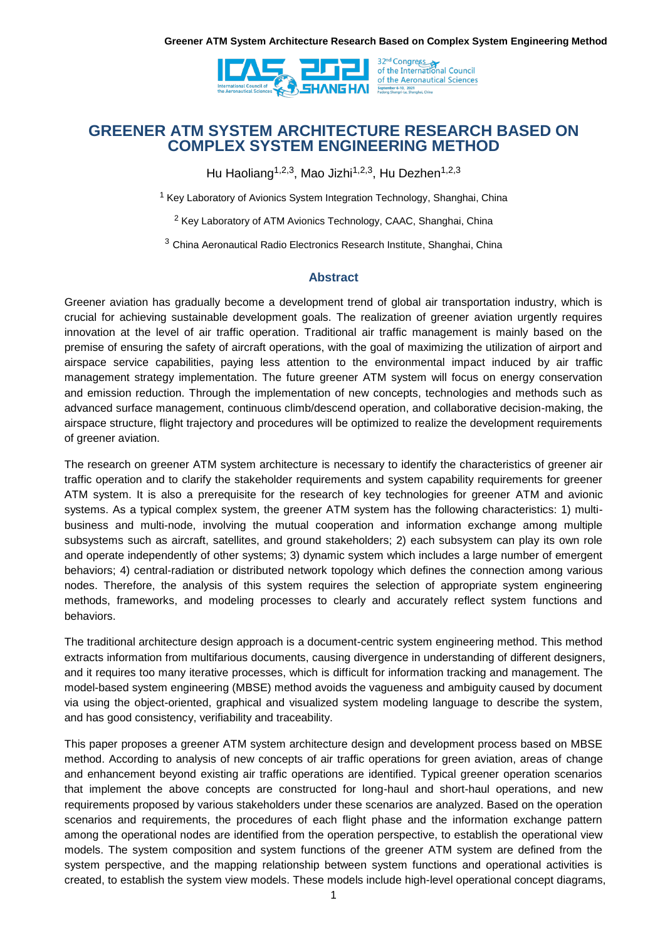

## **GREENER ATM SYSTEM ARCHITECTURE RESEARCH BASED ON COMPLEX SYSTEM ENGINEERING METHOD**

Hu Haoliang<sup>1,2,3</sup>, Mao Jizhi<sup>1,2,3</sup>, Hu Dezhen<sup>1,2,3</sup>

<sup>1</sup> Key Laboratory of Avionics System Integration Technology, Shanghai, China

<sup>2</sup> Key Laboratory of ATM Avionics Technology, CAAC, Shanghai, China

<sup>3</sup> China Aeronautical Radio Electronics Research Institute, Shanghai, China

#### **Abstract**

Greener aviation has gradually become a development trend of global air transportation industry, which is crucial for achieving sustainable development goals. The realization of greener aviation urgently requires innovation at the level of air traffic operation. Traditional air traffic management is mainly based on the premise of ensuring the safety of aircraft operations, with the goal of maximizing the utilization of airport and airspace service capabilities, paying less attention to the environmental impact induced by air traffic management strategy implementation. The future greener ATM system will focus on energy conservation and emission reduction. Through the implementation of new concepts, technologies and methods such as advanced surface management, continuous climb/descend operation, and collaborative decision-making, the airspace structure, flight trajectory and procedures will be optimized to realize the development requirements of greener aviation.

The research on greener ATM system architecture is necessary to identify the characteristics of greener air traffic operation and to clarify the stakeholder requirements and system capability requirements for greener ATM system. It is also a prerequisite for the research of key technologies for greener ATM and avionic systems. As a typical complex system, the greener ATM system has the following characteristics: 1) multibusiness and multi-node, involving the mutual cooperation and information exchange among multiple subsystems such as aircraft, satellites, and ground stakeholders; 2) each subsystem can play its own role and operate independently of other systems; 3) dynamic system which includes a large number of emergent behaviors; 4) central-radiation or distributed network topology which defines the connection among various nodes. Therefore, the analysis of this system requires the selection of appropriate system engineering methods, frameworks, and modeling processes to clearly and accurately reflect system functions and behaviors.

The traditional architecture design approach is a document-centric system engineering method. This method extracts information from multifarious documents, causing divergence in understanding of different designers, and it requires too many iterative processes, which is difficult for information tracking and management. The model-based system engineering (MBSE) method avoids the vagueness and ambiguity caused by document via using the object-oriented, graphical and visualized system modeling language to describe the system, and has good consistency, verifiability and traceability.

This paper proposes a greener ATM system architecture design and development process based on MBSE method. According to analysis of new concepts of air traffic operations for green aviation, areas of change and enhancement beyond existing air traffic operations are identified. Typical greener operation scenarios that implement the above concepts are constructed for long-haul and short-haul operations, and new requirements proposed by various stakeholders under these scenarios are analyzed. Based on the operation scenarios and requirements, the procedures of each flight phase and the information exchange pattern among the operational nodes are identified from the operation perspective, to establish the operational view models. The system composition and system functions of the greener ATM system are defined from the system perspective, and the mapping relationship between system functions and operational activities is created, to establish the system view models. These models include high-level operational concept diagrams,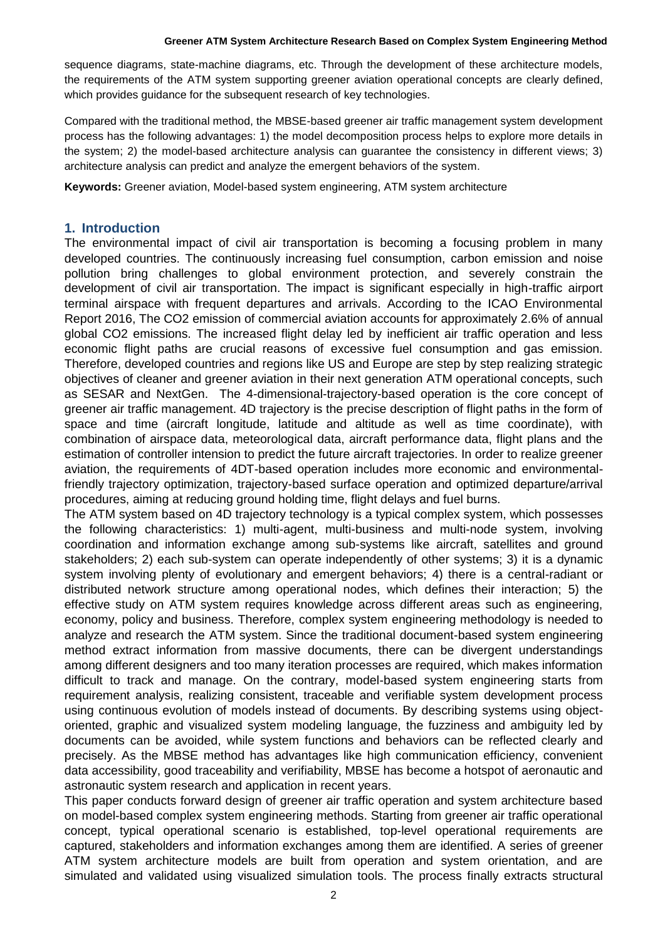#### **Greener ATM System Architecture Research Based on Complex System Engineering Method**

sequence diagrams, state-machine diagrams, etc. Through the development of these architecture models, the requirements of the ATM system supporting greener aviation operational concepts are clearly defined, which provides guidance for the subsequent research of key technologies.

Compared with the traditional method, the MBSE-based greener air traffic management system development process has the following advantages: 1) the model decomposition process helps to explore more details in the system; 2) the model-based architecture analysis can guarantee the consistency in different views; 3) architecture analysis can predict and analyze the emergent behaviors of the system.

**Keywords:** Greener aviation, Model-based system engineering, ATM system architecture

#### **1. Introduction**

The environmental impact of civil air transportation is becoming a focusing problem in many developed countries. The continuously increasing fuel consumption, carbon emission and noise pollution bring challenges to global environment protection, and severely constrain the development of civil air transportation. The impact is significant especially in high-traffic airport terminal airspace with frequent departures and arrivals. According to the ICAO Environmental Report 2016, The CO2 emission of commercial aviation accounts for approximately 2.6% of annual global CO2 emissions. The increased flight delay led by inefficient air traffic operation and less economic flight paths are crucial reasons of excessive fuel consumption and gas emission. Therefore, developed countries and regions like US and Europe are step by step realizing strategic objectives of cleaner and greener aviation in their next generation ATM operational concepts, such as SESAR and NextGen. The 4-dimensional-trajectory-based operation is the core concept of greener air traffic management. 4D trajectory is the precise description of flight paths in the form of space and time (aircraft longitude, latitude and altitude as well as time coordinate), with combination of airspace data, meteorological data, aircraft performance data, flight plans and the estimation of controller intension to predict the future aircraft trajectories. In order to realize greener aviation, the requirements of 4DT-based operation includes more economic and environmentalfriendly trajectory optimization, trajectory-based surface operation and optimized departure/arrival procedures, aiming at reducing ground holding time, flight delays and fuel burns.

The ATM system based on 4D trajectory technology is a typical complex system, which possesses the following characteristics: 1) multi-agent, multi-business and multi-node system, involving coordination and information exchange among sub-systems like aircraft, satellites and ground stakeholders; 2) each sub-system can operate independently of other systems; 3) it is a dynamic system involving plenty of evolutionary and emergent behaviors; 4) there is a central-radiant or distributed network structure among operational nodes, which defines their interaction; 5) the effective study on ATM system requires knowledge across different areas such as engineering, economy, policy and business. Therefore, complex system engineering methodology is needed to analyze and research the ATM system. Since the traditional document-based system engineering method extract information from massive documents, there can be divergent understandings among different designers and too many iteration processes are required, which makes information difficult to track and manage. On the contrary, model-based system engineering starts from requirement analysis, realizing consistent, traceable and verifiable system development process using continuous evolution of models instead of documents. By describing systems using objectoriented, graphic and visualized system modeling language, the fuzziness and ambiguity led by documents can be avoided, while system functions and behaviors can be reflected clearly and precisely. As the MBSE method has advantages like high communication efficiency, convenient data accessibility, good traceability and verifiability, MBSE has become a hotspot of aeronautic and astronautic system research and application in recent years.

This paper conducts forward design of greener air traffic operation and system architecture based on model-based complex system engineering methods. Starting from greener air traffic operational concept, typical operational scenario is established, top-level operational requirements are captured, stakeholders and information exchanges among them are identified. A series of greener ATM system architecture models are built from operation and system orientation, and are simulated and validated using visualized simulation tools. The process finally extracts structural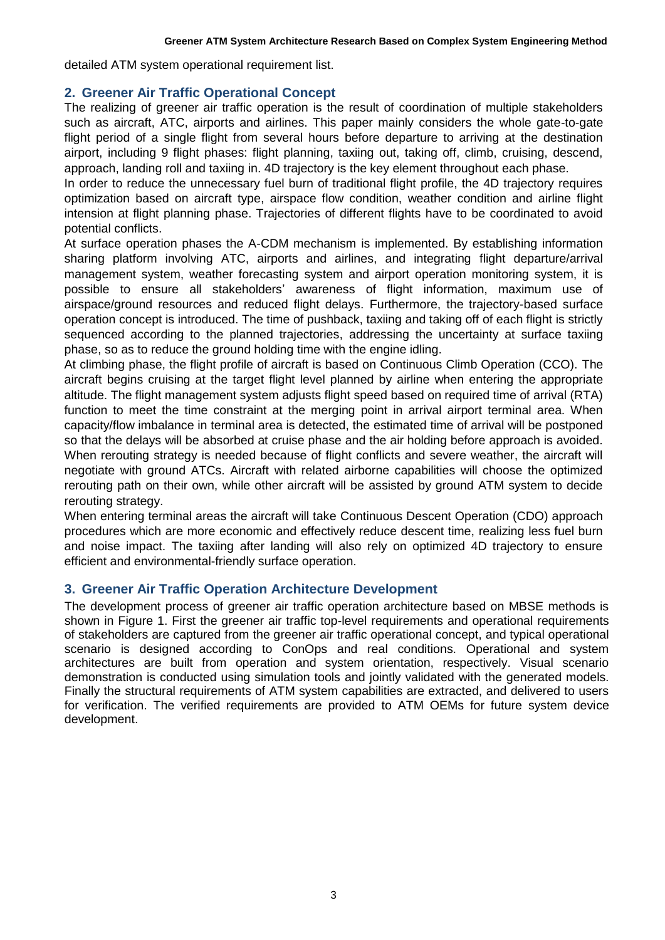detailed ATM system operational requirement list.

### **2. Greener Air Traffic Operational Concept**

The realizing of greener air traffic operation is the result of coordination of multiple stakeholders such as aircraft, ATC, airports and airlines. This paper mainly considers the whole gate-to-gate flight period of a single flight from several hours before departure to arriving at the destination airport, including 9 flight phases: flight planning, taxiing out, taking off, climb, cruising, descend, approach, landing roll and taxiing in. 4D trajectory is the key element throughout each phase.

In order to reduce the unnecessary fuel burn of traditional flight profile, the 4D trajectory requires optimization based on aircraft type, airspace flow condition, weather condition and airline flight intension at flight planning phase. Trajectories of different flights have to be coordinated to avoid potential conflicts.

At surface operation phases the A-CDM mechanism is implemented. By establishing information sharing platform involving ATC, airports and airlines, and integrating flight departure/arrival management system, weather forecasting system and airport operation monitoring system, it is possible to ensure all stakeholders' awareness of flight information, maximum use of airspace/ground resources and reduced flight delays. Furthermore, the trajectory-based surface operation concept is introduced. The time of pushback, taxiing and taking off of each flight is strictly sequenced according to the planned trajectories, addressing the uncertainty at surface taxiing phase, so as to reduce the ground holding time with the engine idling.

At climbing phase, the flight profile of aircraft is based on Continuous Climb Operation (CCO). The aircraft begins cruising at the target flight level planned by airline when entering the appropriate altitude. The flight management system adjusts flight speed based on required time of arrival (RTA) function to meet the time constraint at the merging point in arrival airport terminal area. When capacity/flow imbalance in terminal area is detected, the estimated time of arrival will be postponed so that the delays will be absorbed at cruise phase and the air holding before approach is avoided. When rerouting strategy is needed because of flight conflicts and severe weather, the aircraft will negotiate with ground ATCs. Aircraft with related airborne capabilities will choose the optimized rerouting path on their own, while other aircraft will be assisted by ground ATM system to decide rerouting strategy.

When entering terminal areas the aircraft will take Continuous Descent Operation (CDO) approach procedures which are more economic and effectively reduce descent time, realizing less fuel burn and noise impact. The taxiing after landing will also rely on optimized 4D trajectory to ensure efficient and environmental-friendly surface operation.

### **3. Greener Air Traffic Operation Architecture Development**

The development process of greener air traffic operation architecture based on MBSE methods is shown in Figure 1. First the greener air traffic top-level requirements and operational requirements of stakeholders are captured from the greener air traffic operational concept, and typical operational scenario is designed according to ConOps and real conditions. Operational and system architectures are built from operation and system orientation, respectively. Visual scenario demonstration is conducted using simulation tools and jointly validated with the generated models. Finally the structural requirements of ATM system capabilities are extracted, and delivered to users for verification. The verified requirements are provided to ATM OEMs for future system device development.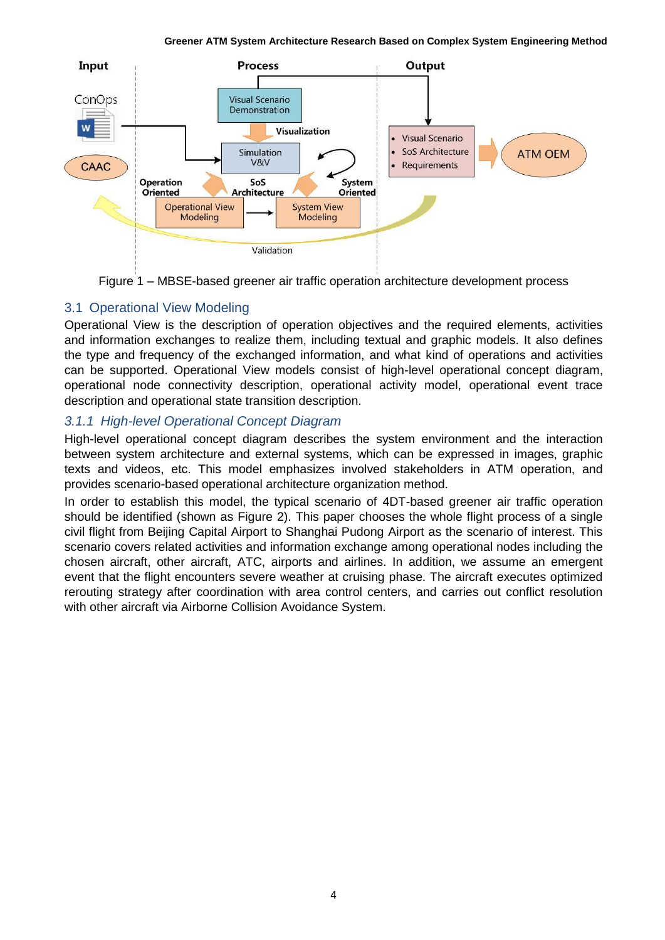

Figure 1 – MBSE-based greener air traffic operation architecture development process

# 3.1 Operational View Modeling

Operational View is the description of operation objectives and the required elements, activities and information exchanges to realize them, including textual and graphic models. It also defines the type and frequency of the exchanged information, and what kind of operations and activities can be supported. Operational View models consist of high-level operational concept diagram, operational node connectivity description, operational activity model, operational event trace description and operational state transition description.

# *3.1.1 High-level Operational Concept Diagram*

High-level operational concept diagram describes the system environment and the interaction between system architecture and external systems, which can be expressed in images, graphic texts and videos, etc. This model emphasizes involved stakeholders in ATM operation, and provides scenario-based operational architecture organization method.

In order to establish this model, the typical scenario of 4DT-based greener air traffic operation should be identified (shown as Figure 2). This paper chooses the whole flight process of a single civil flight from Beijing Capital Airport to Shanghai Pudong Airport as the scenario of interest. This scenario covers related activities and information exchange among operational nodes including the chosen aircraft, other aircraft, ATC, airports and airlines. In addition, we assume an emergent event that the flight encounters severe weather at cruising phase. The aircraft executes optimized rerouting strategy after coordination with area control centers, and carries out conflict resolution with other aircraft via Airborne Collision Avoidance System.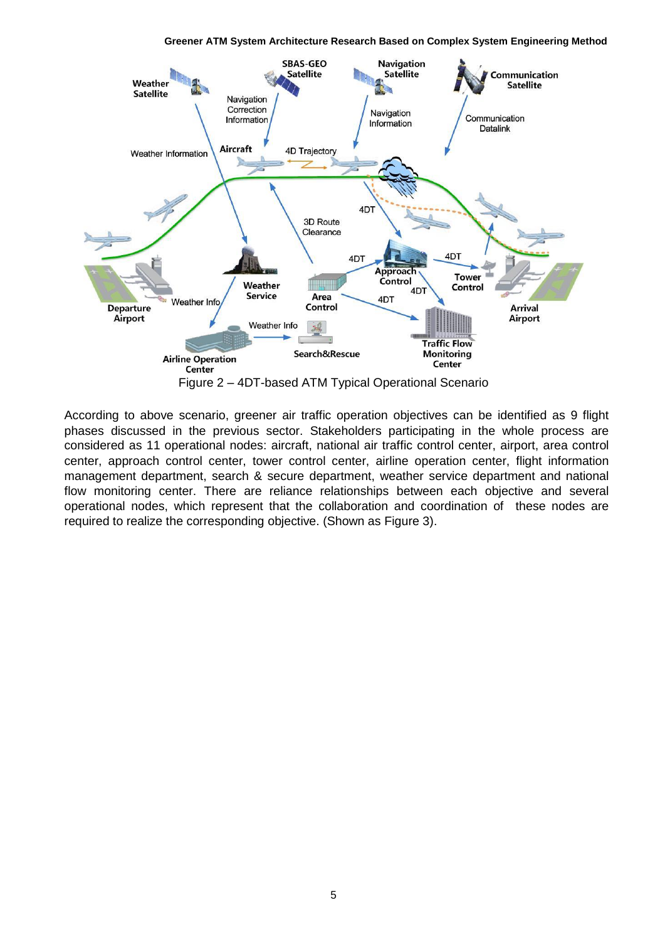**Greener ATM System Architecture Research Based on Complex System Engineering Method**



According to above scenario, greener air traffic operation objectives can be identified as 9 flight phases discussed in the previous sector. Stakeholders participating in the whole process are considered as 11 operational nodes: aircraft, national air traffic control center, airport, area control center, approach control center, tower control center, airline operation center, flight information management department, search & secure department, weather service department and national flow monitoring center. There are reliance relationships between each objective and several operational nodes, which represent that the collaboration and coordination of these nodes are required to realize the corresponding objective. (Shown as Figure 3).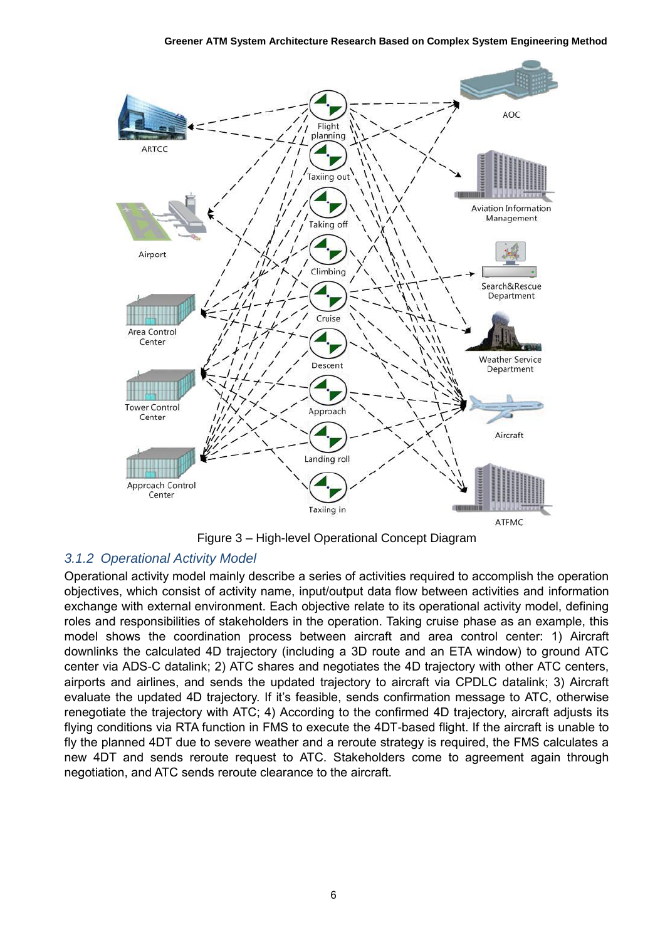

Figure 3 – High-level Operational Concept Diagram

## *3.1.2 Operational Activity Model*

Operational activity model mainly describe a series of activities required to accomplish the operation objectives, which consist of activity name, input/output data flow between activities and information exchange with external environment. Each objective relate to its operational activity model, defining roles and responsibilities of stakeholders in the operation. Taking cruise phase as an example, this model shows the coordination process between aircraft and area control center: 1) Aircraft downlinks the calculated 4D trajectory (including a 3D route and an ETA window) to ground ATC center via ADS-C datalink; 2) ATC shares and negotiates the 4D trajectory with other ATC centers, airports and airlines, and sends the updated trajectory to aircraft via CPDLC datalink; 3) Aircraft evaluate the updated 4D trajectory. If it's feasible, sends confirmation message to ATC, otherwise renegotiate the trajectory with ATC; 4) According to the confirmed 4D trajectory, aircraft adjusts its flying conditions via RTA function in FMS to execute the 4DT-based flight. If the aircraft is unable to fly the planned 4DT due to severe weather and a reroute strategy is required, the FMS calculates a new 4DT and sends reroute request to ATC. Stakeholders come to agreement again through negotiation, and ATC sends reroute clearance to the aircraft.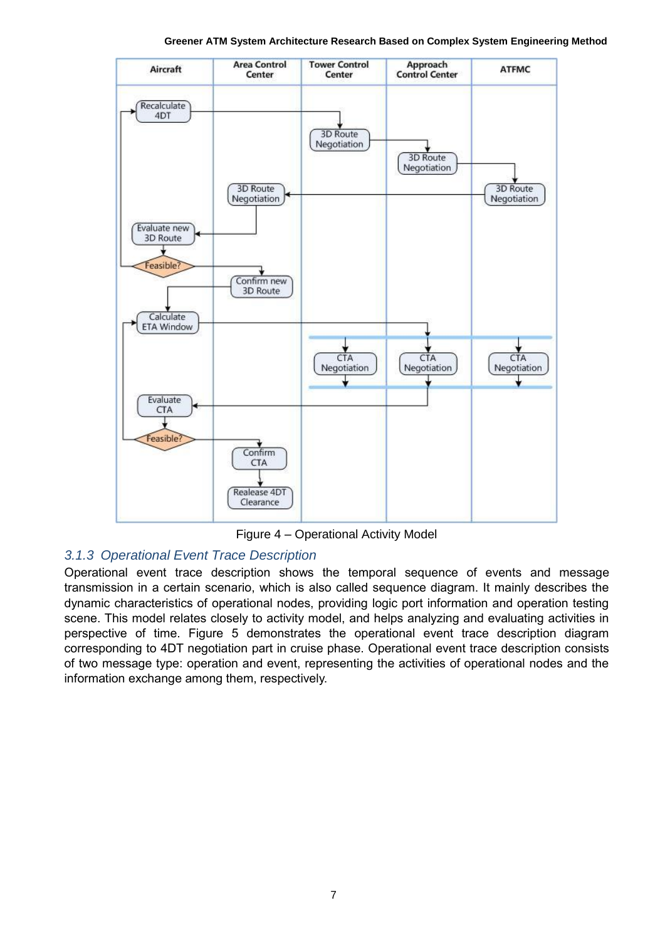**Area Control Tower Control** Approach **ATFMC** Aircraft Center Center **Control Center** Recalculate 4DT **3D Route** Negotiation 3D Route Negotiation **3D Route** 3D Route Negotiation Negotiation Evaluate new 3D Route Feasible? Confirm new 3D Route Calculate **ETA Window** CTA CTA CTA Negotiation Negotiation Negotiation Evaluate **CTA Feasible** Confirm CTA Realease 4DT Clearance

**Greener ATM System Architecture Research Based on Complex System Engineering Method**

Figure 4 – Operational Activity Model

## *3.1.3 Operational Event Trace Description*

Operational event trace description shows the temporal sequence of events and message transmission in a certain scenario, which is also called sequence diagram. It mainly describes the dynamic characteristics of operational nodes, providing logic port information and operation testing scene. This model relates closely to activity model, and helps analyzing and evaluating activities in perspective of time. Figure 5 demonstrates the operational event trace description diagram corresponding to 4DT negotiation part in cruise phase. Operational event trace description consists of two message type: operation and event, representing the activities of operational nodes and the information exchange among them, respectively.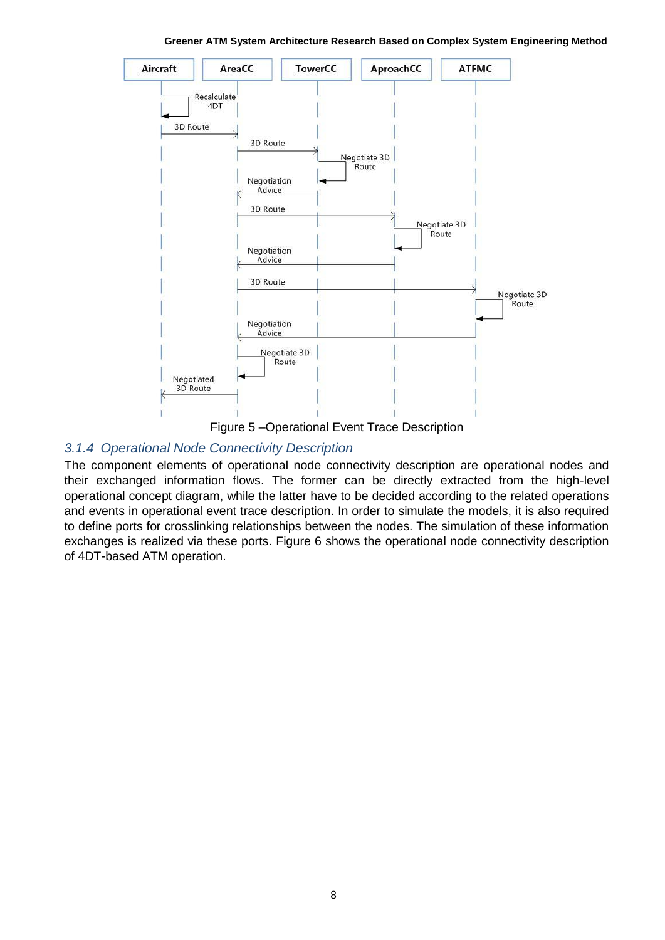

**Greener ATM System Architecture Research Based on Complex System Engineering Method**

Figure 5 –Operational Event Trace Description

#### *3.1.4 Operational Node Connectivity Description*

The component elements of operational node connectivity description are operational nodes and their exchanged information flows. The former can be directly extracted from the high-level operational concept diagram, while the latter have to be decided according to the related operations and events in operational event trace description. In order to simulate the models, it is also required to define ports for crosslinking relationships between the nodes. The simulation of these information exchanges is realized via these ports. Figure 6 shows the operational node connectivity description of 4DT-based ATM operation.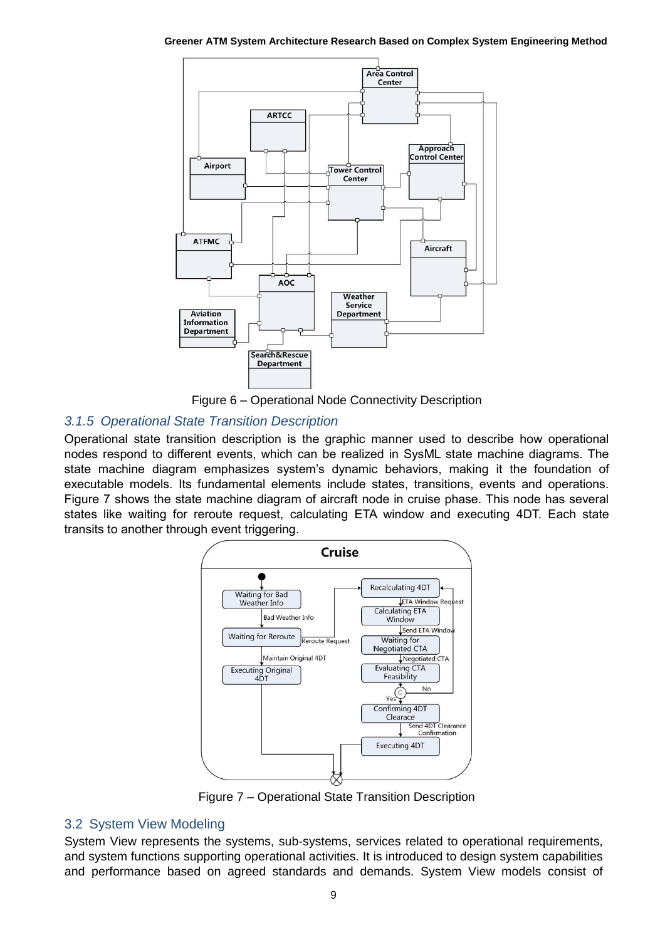**Greener ATM System Architecture Research Based on Complex System Engineering Method**



Figure 6 – Operational Node Connectivity Description

## *3.1.5 Operational State Transition Description*

Operational state transition description is the graphic manner used to describe how operational nodes respond to different events, which can be realized in SysML state machine diagrams. The state machine diagram emphasizes system's dynamic behaviors, making it the foundation of executable models. Its fundamental elements include states, transitions, events and operations. Figure 7 shows the state machine diagram of aircraft node in cruise phase. This node has several states like waiting for reroute request, calculating ETA window and executing 4DT. Each state transits to another through event triggering.



Figure 7 – Operational State Transition Description

### 3.2 System View Modeling

System View represents the systems, sub-systems, services related to operational requirements, and system functions supporting operational activities. It is introduced to design system capabilities and performance based on agreed standards and demands. System View models consist of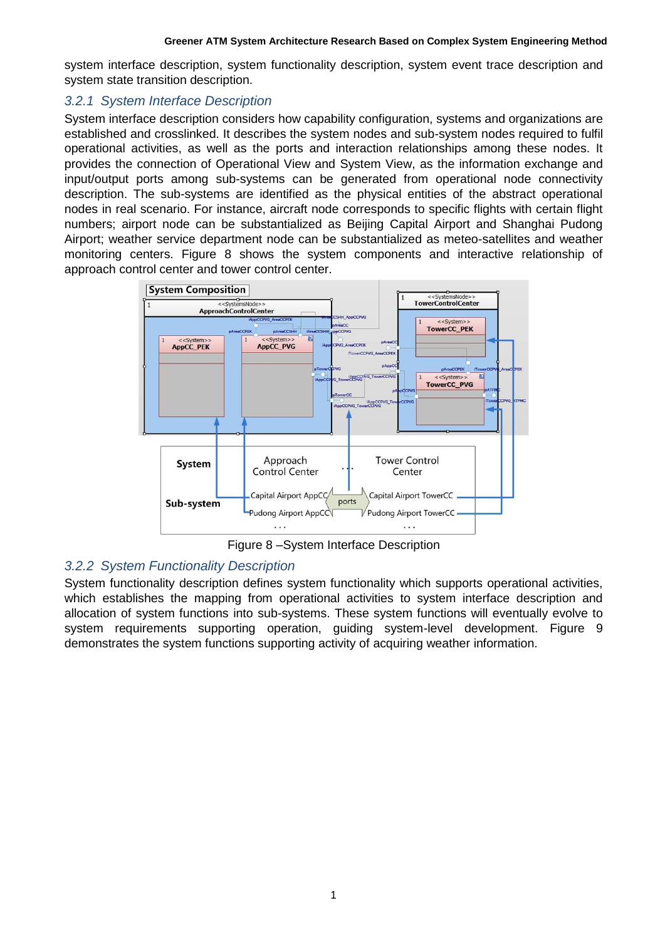system interface description, system functionality description, system event trace description and system state transition description.

### *3.2.1 System Interface Description*

System interface description considers how capability configuration, systems and organizations are established and crosslinked. It describes the system nodes and sub-system nodes required to fulfil operational activities, as well as the ports and interaction relationships among these nodes. It provides the connection of Operational View and System View, as the information exchange and input/output ports among sub-systems can be generated from operational node connectivity description. The sub-systems are identified as the physical entities of the abstract operational nodes in real scenario. For instance, aircraft node corresponds to specific flights with certain flight numbers; airport node can be substantialized as Beijing Capital Airport and Shanghai Pudong Airport; weather service department node can be substantialized as meteo-satellites and weather monitoring centers. Figure 8 shows the system components and interactive relationship of approach control center and tower control center.



Figure 8 –System Interface Description

## *3.2.2 System Functionality Description*

System functionality description defines system functionality which supports operational activities, which establishes the mapping from operational activities to system interface description and allocation of system functions into sub-systems. These system functions will eventually evolve to system requirements supporting operation, guiding system-level development. Figure 9 demonstrates the system functions supporting activity of acquiring weather information.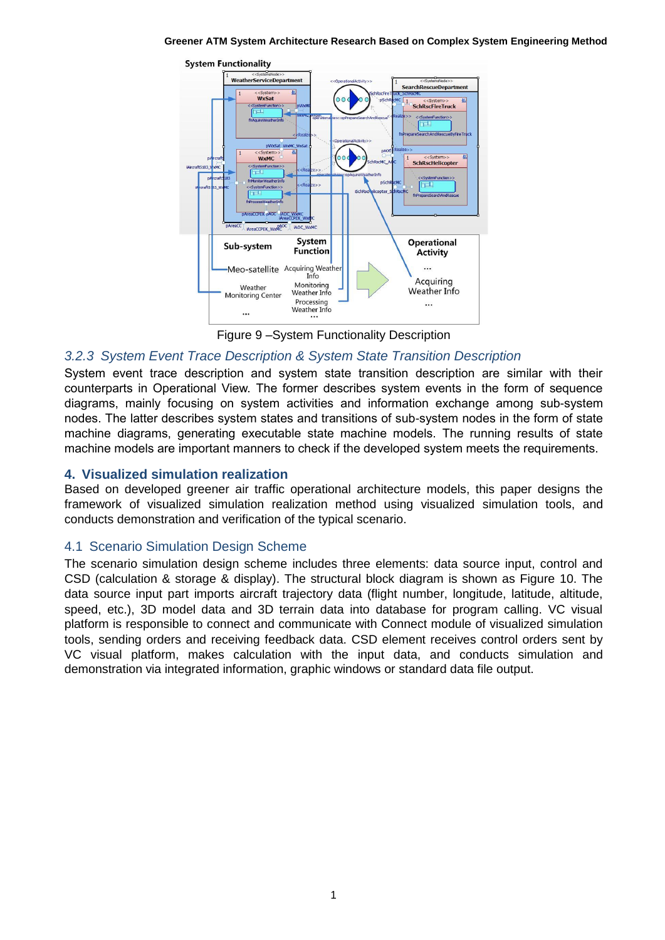**Greener ATM System Architecture Research Based on Complex System Engineering Method**



Figure 9 –System Functionality Description

## *3.2.3 System Event Trace Description & System State Transition Description*

System event trace description and system state transition description are similar with their counterparts in Operational View. The former describes system events in the form of sequence diagrams, mainly focusing on system activities and information exchange among sub-system nodes. The latter describes system states and transitions of sub-system nodes in the form of state machine diagrams, generating executable state machine models. The running results of state machine models are important manners to check if the developed system meets the requirements.

### **4. Visualized simulation realization**

Based on developed greener air traffic operational architecture models, this paper designs the framework of visualized simulation realization method using visualized simulation tools, and conducts demonstration and verification of the typical scenario.

## 4.1 Scenario Simulation Design Scheme

The scenario simulation design scheme includes three elements: data source input, control and CSD (calculation & storage & display). The structural block diagram is shown as Figure 10. The data source input part imports aircraft trajectory data (flight number, longitude, latitude, altitude, speed, etc.), 3D model data and 3D terrain data into database for program calling. VC visual platform is responsible to connect and communicate with Connect module of visualized simulation tools, sending orders and receiving feedback data. CSD element receives control orders sent by VC visual platform, makes calculation with the input data, and conducts simulation and demonstration via integrated information, graphic windows or standard data file output.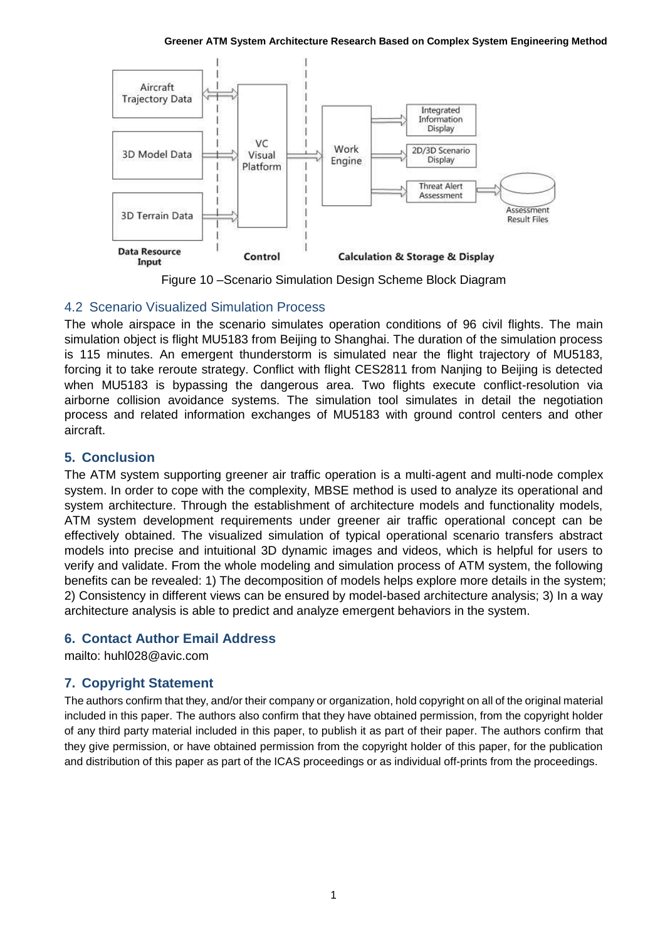#### **Greener ATM System Architecture Research Based on Complex System Engineering Method**



Figure 10 –Scenario Simulation Design Scheme Block Diagram

# 4.2 Scenario Visualized Simulation Process

The whole airspace in the scenario simulates operation conditions of 96 civil flights. The main simulation object is flight MU5183 from Beijing to Shanghai. The duration of the simulation process is 115 minutes. An emergent thunderstorm is simulated near the flight trajectory of MU5183, forcing it to take reroute strategy. Conflict with flight CES2811 from Nanjing to Beijing is detected when MU5183 is bypassing the dangerous area. Two flights execute conflict-resolution via airborne collision avoidance systems. The simulation tool simulates in detail the negotiation process and related information exchanges of MU5183 with ground control centers and other aircraft.

# **5. Conclusion**

The ATM system supporting greener air traffic operation is a multi-agent and multi-node complex system. In order to cope with the complexity, MBSE method is used to analyze its operational and system architecture. Through the establishment of architecture models and functionality models, ATM system development requirements under greener air traffic operational concept can be effectively obtained. The visualized simulation of typical operational scenario transfers abstract models into precise and intuitional 3D dynamic images and videos, which is helpful for users to verify and validate. From the whole modeling and simulation process of ATM system, the following benefits can be revealed: 1) The decomposition of models helps explore more details in the system; 2) Consistency in different views can be ensured by model-based architecture analysis; 3) In a way architecture analysis is able to predict and analyze emergent behaviors in the system.

## **6. Contact Author Email Address**

mailto: huhl028@avic.com

## **7. Copyright Statement**

The authors confirm that they, and/or their company or organization, hold copyright on all of the original material included in this paper. The authors also confirm that they have obtained permission, from the copyright holder of any third party material included in this paper, to publish it as part of their paper. The authors confirm that they give permission, or have obtained permission from the copyright holder of this paper, for the publication and distribution of this paper as part of the ICAS proceedings or as individual off-prints from the proceedings.